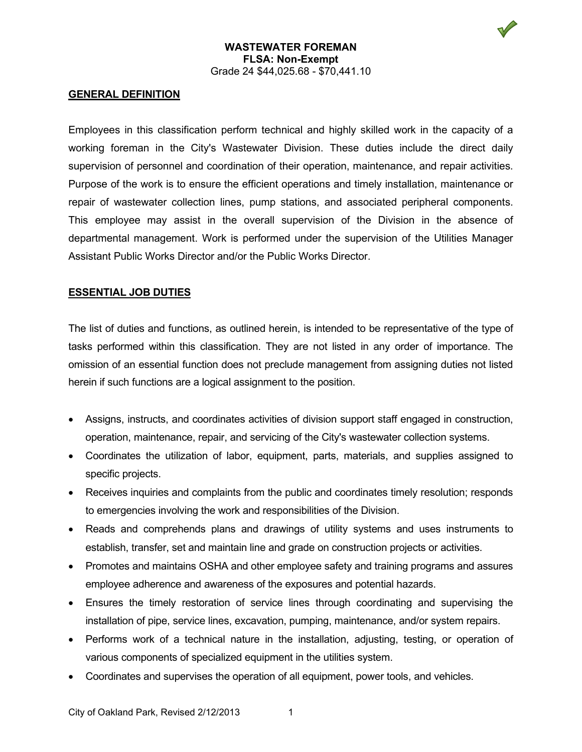# **GENERAL DEFINITION**

Employees in this classification perform technical and highly skilled work in the capacity of a working foreman in the City's Wastewater Division. These duties include the direct daily supervision of personnel and coordination of their operation, maintenance, and repair activities. Purpose of the work is to ensure the efficient operations and timely installation, maintenance or repair of wastewater collection lines, pump stations, and associated peripheral components. This employee may assist in the overall supervision of the Division in the absence of departmental management. Work is performed under the supervision of the Utilities Manager Assistant Public Works Director and/or the Public Works Director.

## **ESSENTIAL JOB DUTIES**

The list of duties and functions, as outlined herein, is intended to be representative of the type of tasks performed within this classification. They are not listed in any order of importance. The omission of an essential function does not preclude management from assigning duties not listed herein if such functions are a logical assignment to the position.

- Assigns, instructs, and coordinates activities of division support staff engaged in construction, operation, maintenance, repair, and servicing of the City's wastewater collection systems.
- Coordinates the utilization of labor, equipment, parts, materials, and supplies assigned to specific projects.
- Receives inquiries and complaints from the public and coordinates timely resolution; responds to emergencies involving the work and responsibilities of the Division.
- Reads and comprehends plans and drawings of utility systems and uses instruments to establish, transfer, set and maintain line and grade on construction projects or activities.
- Promotes and maintains OSHA and other employee safety and training programs and assures employee adherence and awareness of the exposures and potential hazards.
- Ensures the timely restoration of service lines through coordinating and supervising the installation of pipe, service lines, excavation, pumping, maintenance, and/or system repairs.
- Performs work of a technical nature in the installation, adjusting, testing, or operation of various components of specialized equipment in the utilities system.
- Coordinates and supervises the operation of all equipment, power tools, and vehicles.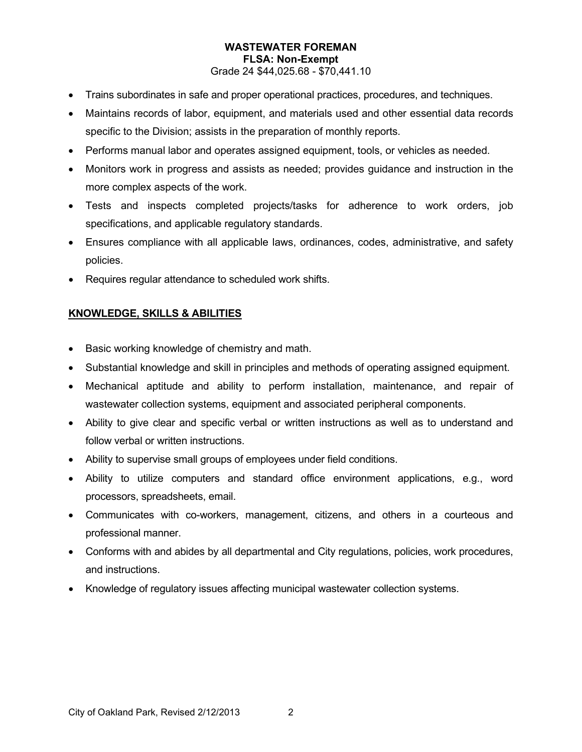- Trains subordinates in safe and proper operational practices, procedures, and techniques.
- Maintains records of labor, equipment, and materials used and other essential data records specific to the Division; assists in the preparation of monthly reports.
- Performs manual labor and operates assigned equipment, tools, or vehicles as needed.
- Monitors work in progress and assists as needed; provides guidance and instruction in the more complex aspects of the work.
- Tests and inspects completed projects/tasks for adherence to work orders, job specifications, and applicable regulatory standards.
- Ensures compliance with all applicable laws, ordinances, codes, administrative, and safety policies.
- Requires regular attendance to scheduled work shifts.

# **KNOWLEDGE, SKILLS & ABILITIES**

- Basic working knowledge of chemistry and math.
- Substantial knowledge and skill in principles and methods of operating assigned equipment.
- Mechanical aptitude and ability to perform installation, maintenance, and repair of wastewater collection systems, equipment and associated peripheral components.
- Ability to give clear and specific verbal or written instructions as well as to understand and follow verbal or written instructions.
- Ability to supervise small groups of employees under field conditions.
- Ability to utilize computers and standard office environment applications, e.g., word processors, spreadsheets, email.
- Communicates with co-workers, management, citizens, and others in a courteous and professional manner.
- Conforms with and abides by all departmental and City regulations, policies, work procedures, and instructions.
- Knowledge of regulatory issues affecting municipal wastewater collection systems.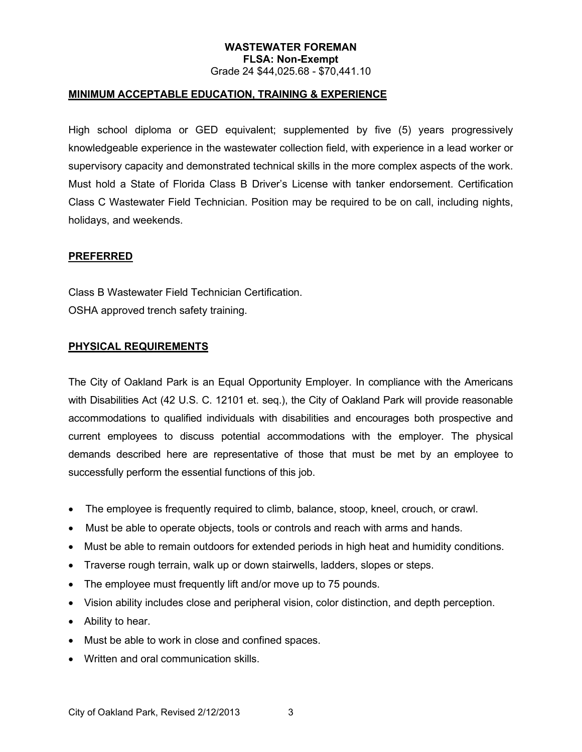### **MINIMUM ACCEPTABLE EDUCATION, TRAINING & EXPERIENCE**

High school diploma or GED equivalent; supplemented by five (5) years progressively knowledgeable experience in the wastewater collection field, with experience in a lead worker or supervisory capacity and demonstrated technical skills in the more complex aspects of the work. Must hold a State of Florida Class B Driver's License with tanker endorsement. Certification Class C Wastewater Field Technician. Position may be required to be on call, including nights, holidays, and weekends.

#### **PREFERRED**

Class B Wastewater Field Technician Certification. OSHA approved trench safety training.

#### **PHYSICAL REQUIREMENTS**

The City of Oakland Park is an Equal Opportunity Employer. In compliance with the Americans with Disabilities Act (42 U.S. C. 12101 et. seq.), the City of Oakland Park will provide reasonable accommodations to qualified individuals with disabilities and encourages both prospective and current employees to discuss potential accommodations with the employer. The physical demands described here are representative of those that must be met by an employee to successfully perform the essential functions of this job.

- The employee is frequently required to climb, balance, stoop, kneel, crouch, or crawl.
- Must be able to operate objects, tools or controls and reach with arms and hands.
- Must be able to remain outdoors for extended periods in high heat and humidity conditions.
- Traverse rough terrain, walk up or down stairwells, ladders, slopes or steps.
- The employee must frequently lift and/or move up to 75 pounds.
- Vision ability includes close and peripheral vision, color distinction, and depth perception.
- Ability to hear.
- Must be able to work in close and confined spaces.
- Written and oral communication skills.